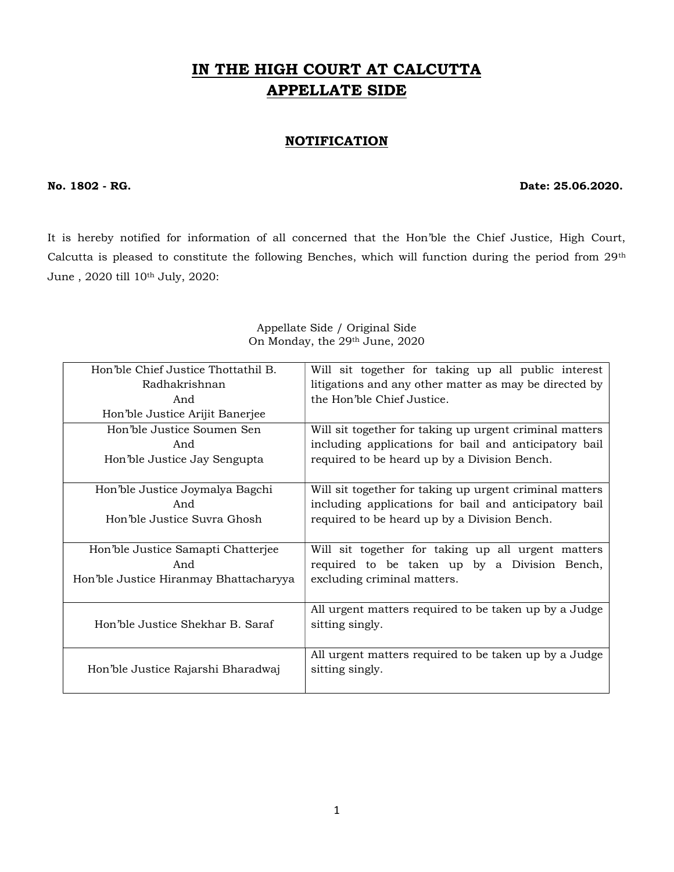# IN THE HIGH COURT AT CALCUTTA APPELLATE SIDE

## **NOTIFICATION**

#### No. 1802 - RG. 25.06.2020.

It is hereby notified for information of all concerned that the Hon'ble the Chief Justice, High Court, Calcutta is pleased to constitute the following Benches, which will function during the period from 29th June , 2020 till 10th July, 2020:

| Hon'ble Chief Justice Thottathil B.    | Will sit together for taking up all public interest     |
|----------------------------------------|---------------------------------------------------------|
| Radhakrishnan                          | litigations and any other matter as may be directed by  |
| And                                    | the Hon'ble Chief Justice.                              |
| Hon'ble Justice Arijit Banerjee        |                                                         |
| Hon'ble Justice Soumen Sen             | Will sit together for taking up urgent criminal matters |
| And                                    | including applications for bail and anticipatory bail   |
| Hon'ble Justice Jay Sengupta           | required to be heard up by a Division Bench.            |
|                                        |                                                         |
| Hon'ble Justice Joymalya Bagchi        | Will sit together for taking up urgent criminal matters |
| And                                    | including applications for bail and anticipatory bail   |
| Hon'ble Justice Suvra Ghosh            | required to be heard up by a Division Bench.            |
|                                        |                                                         |
| Hon'ble Justice Samapti Chatterjee     | Will sit together for taking up all urgent matters      |
| And                                    | required to be taken up by a Division Bench,            |
| Hon'ble Justice Hiranmay Bhattacharyya | excluding criminal matters.                             |
|                                        |                                                         |
|                                        | All urgent matters required to be taken up by a Judge   |
| Hon'ble Justice Shekhar B. Saraf       | sitting singly.                                         |
|                                        |                                                         |
|                                        | All urgent matters required to be taken up by a Judge   |
| Hon'ble Justice Rajarshi Bharadwaj     | sitting singly.                                         |
|                                        |                                                         |

#### Appellate Side / Original Side On Monday, the 29th June, 2020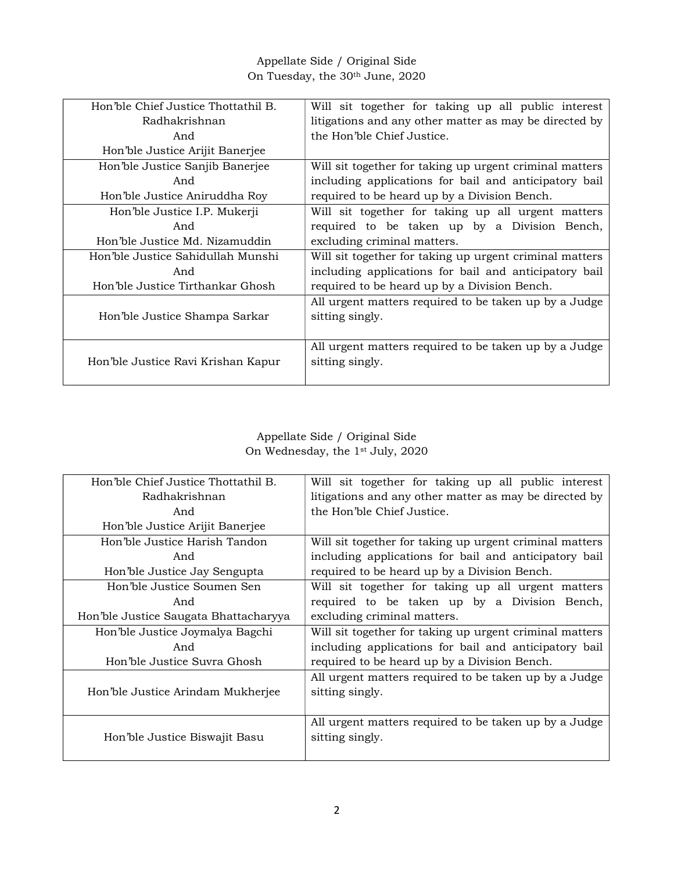## Appellate Side / Original Side On Tuesday, the 30th June, 2020

| Hon'ble Chief Justice Thottathil B. | Will sit together for taking up all public interest     |
|-------------------------------------|---------------------------------------------------------|
| Radhakrishnan                       | litigations and any other matter as may be directed by  |
| And                                 | the Hon'ble Chief Justice.                              |
| Hon'ble Justice Arijit Banerjee     |                                                         |
| Hon'ble Justice Sanjib Banerjee     | Will sit together for taking up urgent criminal matters |
| And                                 | including applications for bail and anticipatory bail   |
| Hon'ble Justice Aniruddha Roy       | required to be heard up by a Division Bench.            |
| Hon'ble Justice I.P. Mukerji        | Will sit together for taking up all urgent matters      |
| And                                 | required to be taken up by a Division Bench,            |
| Hon'ble Justice Md. Nizamuddin      | excluding criminal matters.                             |
| Hon'ble Justice Sahidullah Munshi   | Will sit together for taking up urgent criminal matters |
| And                                 | including applications for bail and anticipatory bail   |
| Hon'ble Justice Tirthankar Ghosh    | required to be heard up by a Division Bench.            |
|                                     | All urgent matters required to be taken up by a Judge   |
| Hon'ble Justice Shampa Sarkar       | sitting singly.                                         |
|                                     |                                                         |
|                                     | All urgent matters required to be taken up by a Judge   |
| Hon'ble Justice Ravi Krishan Kapur  | sitting singly.                                         |
|                                     |                                                         |

## Appellate Side / Original Side On Wednesday, the 1st July, 2020

| Hon'ble Chief Justice Thottathil B.   | Will sit together for taking up all public interest     |
|---------------------------------------|---------------------------------------------------------|
| Radhakrishnan                         | litigations and any other matter as may be directed by  |
| And                                   | the Hon'ble Chief Justice.                              |
| Hon'ble Justice Arijit Banerjee       |                                                         |
| Hon'ble Justice Harish Tandon         | Will sit together for taking up urgent criminal matters |
| And                                   | including applications for bail and anticipatory bail   |
| Hon'ble Justice Jay Sengupta          | required to be heard up by a Division Bench.            |
| Hon'ble Justice Soumen Sen            | Will sit together for taking up all urgent matters      |
| And                                   | required to be taken up by a Division Bench,            |
| Hon'ble Justice Saugata Bhattacharyya | excluding criminal matters.                             |
| Hon'ble Justice Joymalya Bagchi       | Will sit together for taking up urgent criminal matters |
| And                                   | including applications for bail and anticipatory bail   |
| Hon'ble Justice Suvra Ghosh           | required to be heard up by a Division Bench.            |
|                                       | All urgent matters required to be taken up by a Judge   |
| Hon'ble Justice Arindam Mukherjee     | sitting singly.                                         |
|                                       |                                                         |
|                                       | All urgent matters required to be taken up by a Judge   |
| Hon'ble Justice Biswajit Basu         | sitting singly.                                         |
|                                       |                                                         |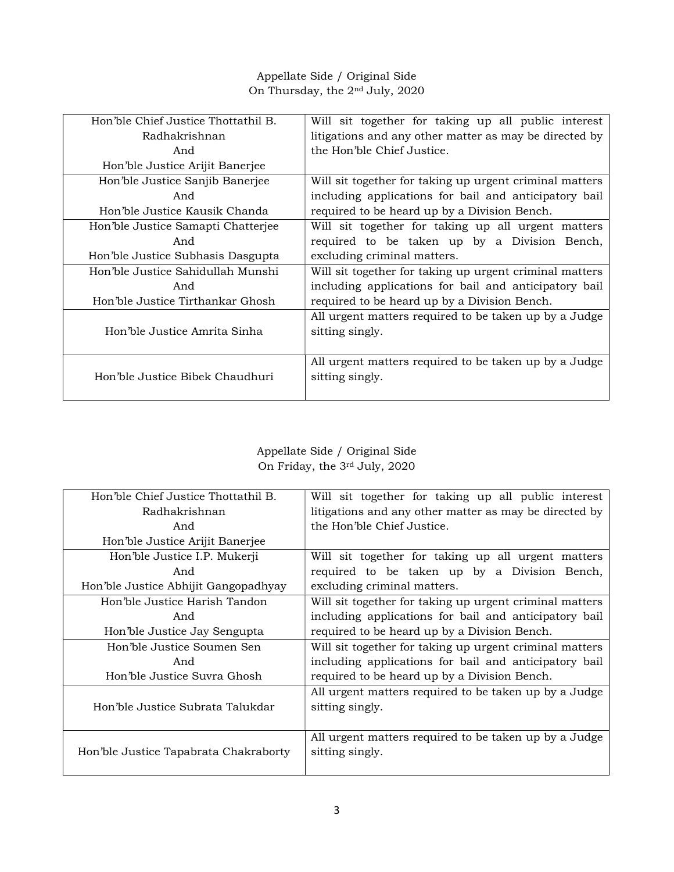## Appellate Side / Original Side On Thursday, the 2nd July, 2020

| Hon'ble Chief Justice Thottathil B. | Will sit together for taking up all public interest     |
|-------------------------------------|---------------------------------------------------------|
| Radhakrishnan                       | litigations and any other matter as may be directed by  |
| And                                 | the Hon'ble Chief Justice.                              |
| Hon'ble Justice Arijit Banerjee     |                                                         |
| Hon'ble Justice Sanjib Banerjee     | Will sit together for taking up urgent criminal matters |
| And                                 | including applications for bail and anticipatory bail   |
| Hon'ble Justice Kausik Chanda       | required to be heard up by a Division Bench.            |
| Hon'ble Justice Samapti Chatterjee  | Will sit together for taking up all urgent matters      |
| And                                 | required to be taken up by a Division Bench,            |
| Hon'ble Justice Subhasis Dasgupta   | excluding criminal matters.                             |
| Hon'ble Justice Sahidullah Munshi   | Will sit together for taking up urgent criminal matters |
| And                                 | including applications for bail and anticipatory bail   |
| Hon'ble Justice Tirthankar Ghosh    | required to be heard up by a Division Bench.            |
|                                     | All urgent matters required to be taken up by a Judge   |
| Hon'ble Justice Amrita Sinha        | sitting singly.                                         |
|                                     |                                                         |
|                                     | All urgent matters required to be taken up by a Judge   |
| Hon'ble Justice Bibek Chaudhuri     | sitting singly.                                         |
|                                     |                                                         |

#### Appellate Side / Original Side On Friday, the 3rd July, 2020

| Hon'ble Chief Justice Thottathil B.   | Will sit together for taking up all public interest     |
|---------------------------------------|---------------------------------------------------------|
| Radhakrishnan                         | litigations and any other matter as may be directed by  |
| And                                   | the Hon'ble Chief Justice.                              |
| Hon'ble Justice Arijit Banerjee       |                                                         |
| Hon'ble Justice I.P. Mukerji          | Will sit together for taking up all urgent matters      |
| And                                   | required to be taken up by a Division Bench,            |
| Hon'ble Justice Abhijit Gangopadhyay  | excluding criminal matters.                             |
| Hon'ble Justice Harish Tandon         | Will sit together for taking up urgent criminal matters |
| And                                   | including applications for bail and anticipatory bail   |
| Hon'ble Justice Jay Sengupta          | required to be heard up by a Division Bench.            |
| Hon'ble Justice Soumen Sen            | Will sit together for taking up urgent criminal matters |
| And                                   | including applications for bail and anticipatory bail   |
| Hon'ble Justice Suvra Ghosh           | required to be heard up by a Division Bench.            |
|                                       | All urgent matters required to be taken up by a Judge   |
| Hon'ble Justice Subrata Talukdar      | sitting singly.                                         |
|                                       |                                                         |
|                                       | All urgent matters required to be taken up by a Judge   |
| Hon'ble Justice Tapabrata Chakraborty | sitting singly.                                         |
|                                       |                                                         |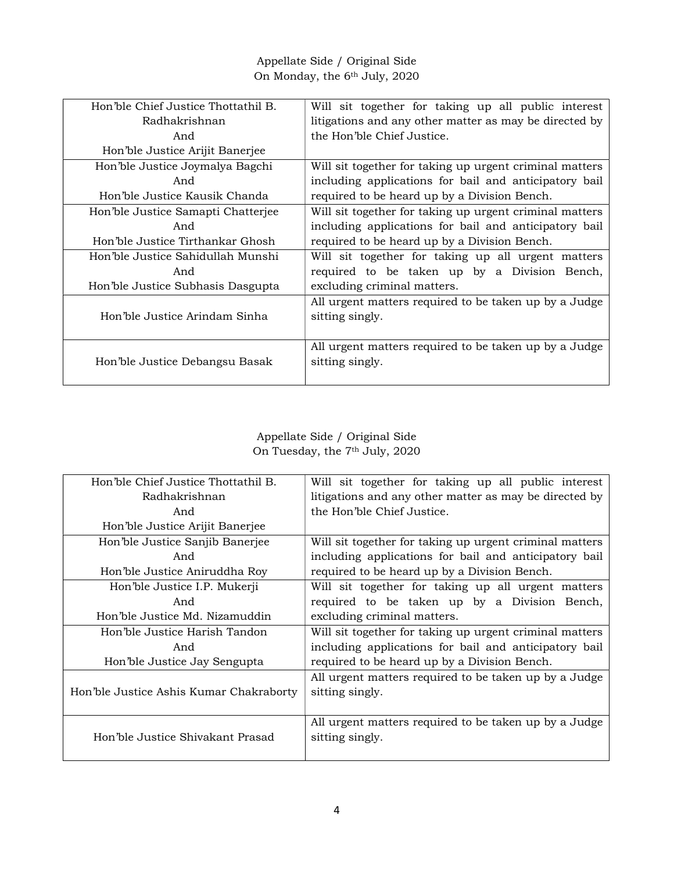Appellate Side / Original Side On Monday, the 6th July, 2020

| Hon'ble Chief Justice Thottathil B. | Will sit together for taking up all public interest     |
|-------------------------------------|---------------------------------------------------------|
| Radhakrishnan                       | litigations and any other matter as may be directed by  |
| And                                 | the Hon'ble Chief Justice.                              |
| Hon'ble Justice Arijit Banerjee     |                                                         |
| Hon'ble Justice Joymalya Bagchi     | Will sit together for taking up urgent criminal matters |
| And                                 | including applications for bail and anticipatory bail   |
| Hon'ble Justice Kausik Chanda       | required to be heard up by a Division Bench.            |
| Hon'ble Justice Samapti Chatterjee  | Will sit together for taking up urgent criminal matters |
| And                                 | including applications for bail and anticipatory bail   |
| Hon'ble Justice Tirthankar Ghosh    | required to be heard up by a Division Bench.            |
| Hon'ble Justice Sahidullah Munshi   | Will sit together for taking up all urgent matters      |
| And                                 | required to be taken up by a Division Bench,            |
| Hon'ble Justice Subhasis Dasgupta   | excluding criminal matters.                             |
|                                     | All urgent matters required to be taken up by a Judge   |
| Hon'ble Justice Arindam Sinha       | sitting singly.                                         |
|                                     |                                                         |
|                                     | All urgent matters required to be taken up by a Judge   |
| Hon'ble Justice Debangsu Basak      | sitting singly.                                         |
|                                     |                                                         |

## Appellate Side / Original Side On Tuesday, the 7<sup>th</sup> July, 2020

| Hon'ble Chief Justice Thottathil B.     | Will sit together for taking up all public interest     |
|-----------------------------------------|---------------------------------------------------------|
| Radhakrishnan                           | litigations and any other matter as may be directed by  |
| And                                     | the Hon'ble Chief Justice.                              |
| Hon'ble Justice Arijit Banerjee         |                                                         |
| Hon'ble Justice Sanjib Banerjee         | Will sit together for taking up urgent criminal matters |
| And                                     | including applications for bail and anticipatory bail   |
| Hon'ble Justice Aniruddha Roy           | required to be heard up by a Division Bench.            |
| Hon'ble Justice I.P. Mukerji            | Will sit together for taking up all urgent matters      |
| And                                     | required to be taken up by a Division Bench,            |
| Hon'ble Justice Md. Nizamuddin          | excluding criminal matters.                             |
| Hon'ble Justice Harish Tandon           | Will sit together for taking up urgent criminal matters |
| And                                     | including applications for bail and anticipatory bail   |
| Hon'ble Justice Jay Sengupta            | required to be heard up by a Division Bench.            |
|                                         | All urgent matters required to be taken up by a Judge   |
| Hon'ble Justice Ashis Kumar Chakraborty | sitting singly.                                         |
|                                         |                                                         |
|                                         | All urgent matters required to be taken up by a Judge   |
| Hon'ble Justice Shivakant Prasad        | sitting singly.                                         |
|                                         |                                                         |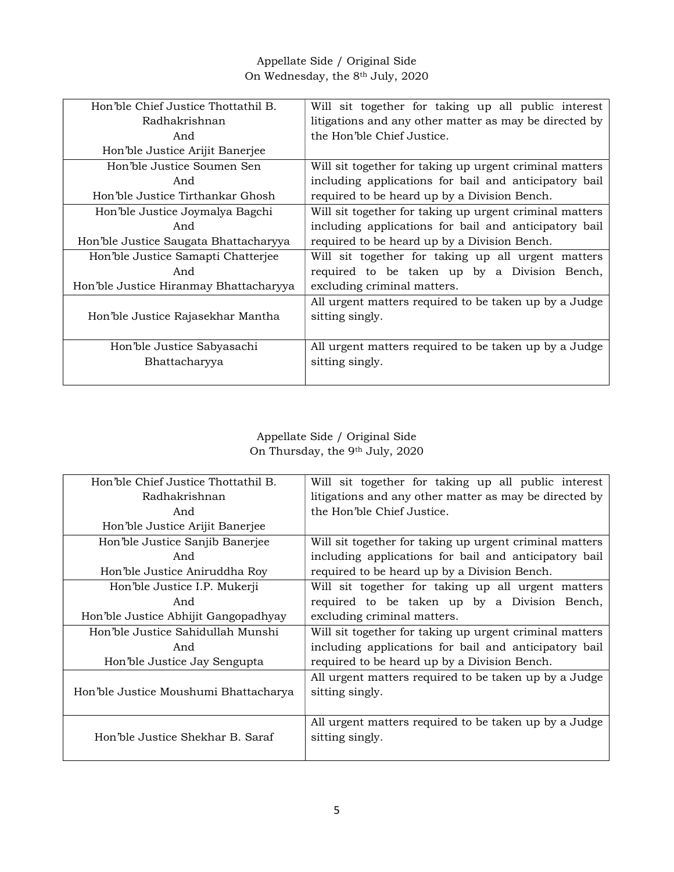Appellate Side / Original Side On Wednesday, the 8th July, 2020

| Hon'ble Chief Justice Thottathil B.    | Will sit together for taking up all public interest     |
|----------------------------------------|---------------------------------------------------------|
| Radhakrishnan                          | litigations and any other matter as may be directed by  |
| And                                    | the Hon'ble Chief Justice.                              |
| Hon'ble Justice Arijit Banerjee        |                                                         |
| Hon'ble Justice Soumen Sen             | Will sit together for taking up urgent criminal matters |
| And                                    | including applications for bail and anticipatory bail   |
| Hon'ble Justice Tirthankar Ghosh       | required to be heard up by a Division Bench.            |
| Hon'ble Justice Joymalya Bagchi        | Will sit together for taking up urgent criminal matters |
| And                                    | including applications for bail and anticipatory bail   |
| Hon'ble Justice Saugata Bhattacharyya  | required to be heard up by a Division Bench.            |
| Hon'ble Justice Samapti Chatterjee     | Will sit together for taking up all urgent matters      |
| And                                    | required to be taken up by a Division Bench,            |
| Hon'ble Justice Hiranmay Bhattacharyya | excluding criminal matters.                             |
|                                        | All urgent matters required to be taken up by a Judge   |
| Hon'ble Justice Rajasekhar Mantha      | sitting singly.                                         |
|                                        |                                                         |
| Hon'ble Justice Sabyasachi             | All urgent matters required to be taken up by a Judge   |
| Bhattacharyya                          | sitting singly.                                         |
|                                        |                                                         |

## Appellate Side / Original Side On Thursday, the 9th July, 2020

| Hon'ble Chief Justice Thottathil B.   | Will sit together for taking up all public interest     |
|---------------------------------------|---------------------------------------------------------|
| Radhakrishnan                         | litigations and any other matter as may be directed by  |
| And                                   | the Hon'ble Chief Justice.                              |
| Hon'ble Justice Arijit Banerjee       |                                                         |
| Hon'ble Justice Sanjib Banerjee       | Will sit together for taking up urgent criminal matters |
| And                                   | including applications for bail and anticipatory bail   |
| Hon'ble Justice Aniruddha Roy         | required to be heard up by a Division Bench.            |
| Hon'ble Justice I.P. Mukerji          | Will sit together for taking up all urgent matters      |
| And                                   | required to be taken up by a Division Bench,            |
| Hon'ble Justice Abhijit Gangopadhyay  | excluding criminal matters.                             |
| Hon'ble Justice Sahidullah Munshi     | Will sit together for taking up urgent criminal matters |
| And                                   | including applications for bail and anticipatory bail   |
| Hon'ble Justice Jay Sengupta          | required to be heard up by a Division Bench.            |
|                                       | All urgent matters required to be taken up by a Judge   |
| Hon'ble Justice Moushumi Bhattacharya | sitting singly.                                         |
|                                       |                                                         |
|                                       | All urgent matters required to be taken up by a Judge   |
| Hon'ble Justice Shekhar B. Saraf      | sitting singly.                                         |
|                                       |                                                         |